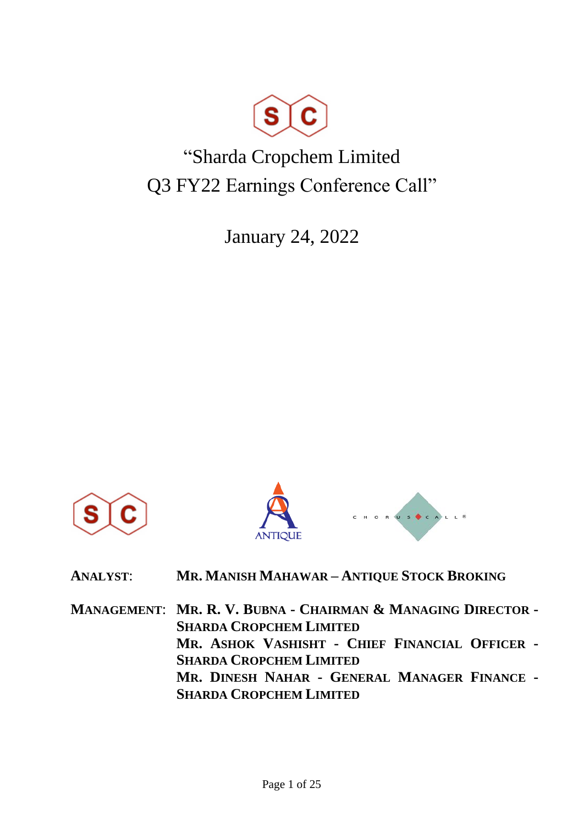

# "Sharda Cropchem Limited Q3 FY22 Earnings Conference Call"

January 24, 2022







| <b>ANALYST:</b> | MR. MANISH MAHAWAR - ANTIQUE STOCK BROKING |
|-----------------|--------------------------------------------|
|-----------------|--------------------------------------------|

**MANAGEMENT**: **MR. R. V. BUBNA - CHAIRMAN & MANAGING DIRECTOR - SHARDA CROPCHEM LIMITED MR. ASHOK VASHISHT - CHIEF FINANCIAL OFFICER - SHARDA CROPCHEM LIMITED MR. DINESH NAHAR - GENERAL MANAGER FINANCE - SHARDA CROPCHEM LIMITED**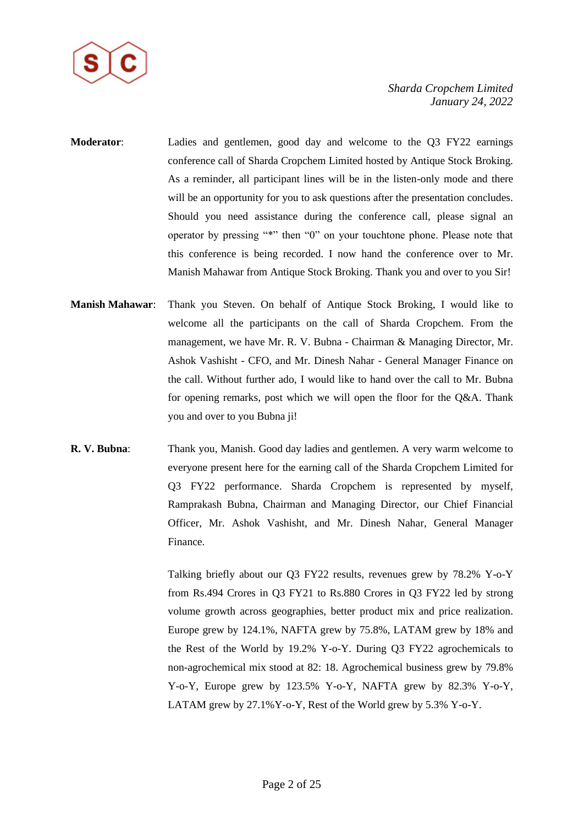

- **Moderator**: Ladies and gentlemen, good day and welcome to the Q3 FY22 earnings conference call of Sharda Cropchem Limited hosted by Antique Stock Broking. As a reminder, all participant lines will be in the listen-only mode and there will be an opportunity for you to ask questions after the presentation concludes. Should you need assistance during the conference call, please signal an operator by pressing "\*" then "0" on your touchtone phone. Please note that this conference is being recorded. I now hand the conference over to Mr. Manish Mahawar from Antique Stock Broking. Thank you and over to you Sir!
- **Manish Mahawar**: Thank you Steven. On behalf of Antique Stock Broking, I would like to welcome all the participants on the call of Sharda Cropchem. From the management, we have Mr. R. V. Bubna - Chairman & Managing Director, Mr. Ashok Vashisht - CFO, and Mr. Dinesh Nahar - General Manager Finance on the call. Without further ado, I would like to hand over the call to Mr. Bubna for opening remarks, post which we will open the floor for the Q&A. Thank you and over to you Bubna ji!
- **R. V. Bubna**: Thank you, Manish. Good day ladies and gentlemen. A very warm welcome to everyone present here for the earning call of the Sharda Cropchem Limited for Q3 FY22 performance. Sharda Cropchem is represented by myself, Ramprakash Bubna, Chairman and Managing Director, our Chief Financial Officer, Mr. Ashok Vashisht, and Mr. Dinesh Nahar, General Manager Finance.

Talking briefly about our Q3 FY22 results, revenues grew by 78.2% Y-o-Y from Rs.494 Crores in Q3 FY21 to Rs.880 Crores in Q3 FY22 led by strong volume growth across geographies, better product mix and price realization. Europe grew by 124.1%, NAFTA grew by 75.8%, LATAM grew by 18% and the Rest of the World by 19.2% Y-o-Y. During Q3 FY22 agrochemicals to non-agrochemical mix stood at 82: 18. Agrochemical business grew by 79.8% Y-o-Y, Europe grew by 123.5% Y-o-Y, NAFTA grew by 82.3% Y-o-Y, LATAM grew by 27.1%Y-o-Y, Rest of the World grew by 5.3% Y-o-Y.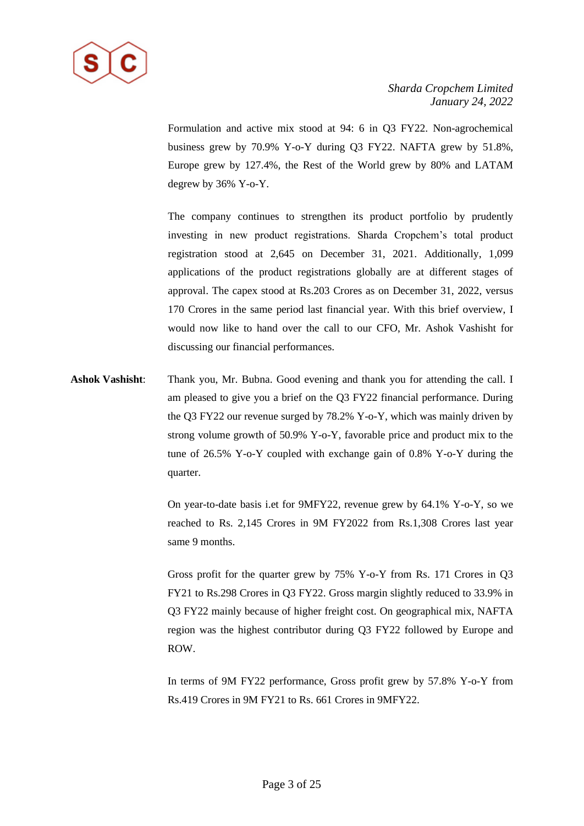

Formulation and active mix stood at 94: 6 in Q3 FY22. Non-agrochemical business grew by 70.9% Y-o-Y during Q3 FY22. NAFTA grew by 51.8%, Europe grew by 127.4%, the Rest of the World grew by 80% and LATAM degrew by 36% Y-o-Y.

The company continues to strengthen its product portfolio by prudently investing in new product registrations. Sharda Cropchem's total product registration stood at 2,645 on December 31, 2021. Additionally, 1,099 applications of the product registrations globally are at different stages of approval. The capex stood at Rs.203 Crores as on December 31, 2022, versus 170 Crores in the same period last financial year. With this brief overview, I would now like to hand over the call to our CFO, Mr. Ashok Vashisht for discussing our financial performances.

**Ashok Vashisht**: Thank you, Mr. Bubna. Good evening and thank you for attending the call. I am pleased to give you a brief on the Q3 FY22 financial performance. During the Q3 FY22 our revenue surged by 78.2% Y-o-Y, which was mainly driven by strong volume growth of 50.9% Y-o-Y, favorable price and product mix to the tune of 26.5% Y-o-Y coupled with exchange gain of 0.8% Y-o-Y during the quarter.

> On year-to-date basis i.et for 9MFY22, revenue grew by 64.1% Y-o-Y, so we reached to Rs. 2,145 Crores in 9M FY2022 from Rs.1,308 Crores last year same 9 months.

> Gross profit for the quarter grew by 75% Y-o-Y from Rs. 171 Crores in Q3 FY21 to Rs.298 Crores in Q3 FY22. Gross margin slightly reduced to 33.9% in Q3 FY22 mainly because of higher freight cost. On geographical mix, NAFTA region was the highest contributor during Q3 FY22 followed by Europe and ROW.

> In terms of 9M FY22 performance, Gross profit grew by 57.8% Y-o-Y from Rs.419 Crores in 9M FY21 to Rs. 661 Crores in 9MFY22.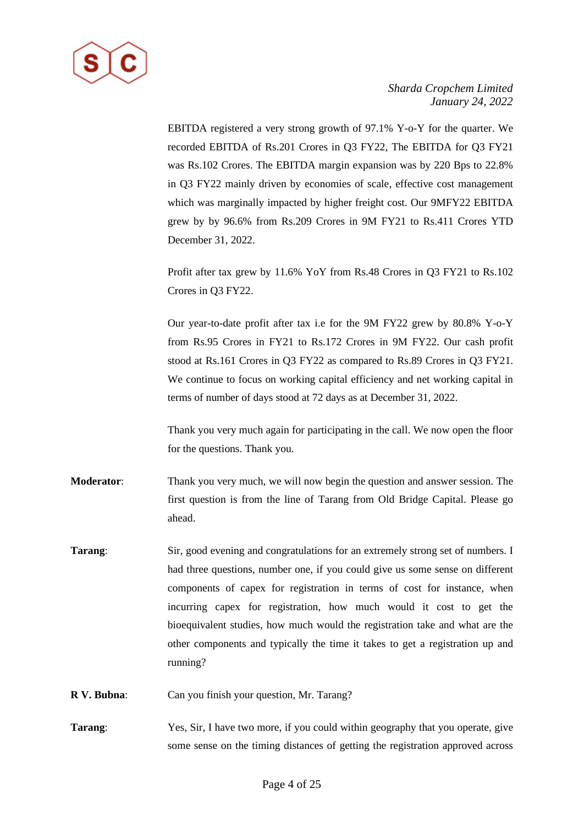

EBITDA registered a very strong growth of 97.1% Y-o-Y for the quarter. We recorded EBITDA of Rs.201 Crores in Q3 FY22, The EBITDA for Q3 FY21 was Rs.102 Crores. The EBITDA margin expansion was by 220 Bps to 22.8% in Q3 FY22 mainly driven by economies of scale, effective cost management which was marginally impacted by higher freight cost. Our 9MFY22 EBITDA grew by by 96.6% from Rs.209 Crores in 9M FY21 to Rs.411 Crores YTD December 31, 2022.

Profit after tax grew by 11.6% YoY from Rs.48 Crores in Q3 FY21 to Rs.102 Crores in Q3 FY22.

Our year-to-date profit after tax i.e for the 9M FY22 grew by 80.8% Y-o-Y from Rs.95 Crores in FY21 to Rs.172 Crores in 9M FY22. Our cash profit stood at Rs.161 Crores in Q3 FY22 as compared to Rs.89 Crores in Q3 FY21. We continue to focus on working capital efficiency and net working capital in terms of number of days stood at 72 days as at December 31, 2022.

Thank you very much again for participating in the call. We now open the floor for the questions. Thank you.

- **Moderator**: Thank you very much, we will now begin the question and answer session. The first question is from the line of Tarang from Old Bridge Capital. Please go ahead.
- **Tarang:** Sir, good evening and congratulations for an extremely strong set of numbers. I had three questions, number one, if you could give us some sense on different components of capex for registration in terms of cost for instance, when incurring capex for registration, how much would it cost to get the bioequivalent studies, how much would the registration take and what are the other components and typically the time it takes to get a registration up and running?
- **R V. Bubna**: Can you finish your question, Mr. Tarang?
- **Tarang**: Yes, Sir, I have two more, if you could within geography that you operate, give some sense on the timing distances of getting the registration approved across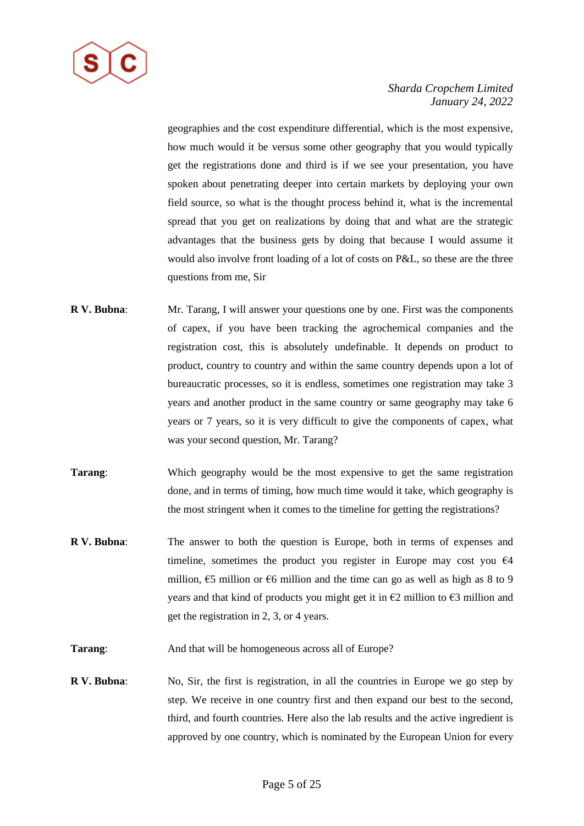

geographies and the cost expenditure differential, which is the most expensive, how much would it be versus some other geography that you would typically get the registrations done and third is if we see your presentation, you have spoken about penetrating deeper into certain markets by deploying your own field source, so what is the thought process behind it, what is the incremental spread that you get on realizations by doing that and what are the strategic advantages that the business gets by doing that because I would assume it would also involve front loading of a lot of costs on P&L, so these are the three questions from me, Sir

- **R V. Bubna**: Mr. Tarang, I will answer your questions one by one. First was the components of capex, if you have been tracking the agrochemical companies and the registration cost, this is absolutely undefinable. It depends on product to product, country to country and within the same country depends upon a lot of bureaucratic processes, so it is endless, sometimes one registration may take 3 years and another product in the same country or same geography may take 6 years or 7 years, so it is very difficult to give the components of capex, what was your second question, Mr. Tarang?
- **Tarang:** Which geography would be the most expensive to get the same registration done, and in terms of timing, how much time would it take, which geography is the most stringent when it comes to the timeline for getting the registrations?
- **R V. Bubna**: The answer to both the question is Europe, both in terms of expenses and timeline, sometimes the product you register in Europe may cost you  $\epsilon$ 4 million,  $65$  million or  $66$  million and the time can go as well as high as 8 to 9 years and that kind of products you might get it in  $\epsilon$ 2 million to  $\epsilon$ 3 million and get the registration in 2, 3, or 4 years.

**Tarang**: And that will be homogeneous across all of Europe?

**R V. Bubna**: No, Sir, the first is registration, in all the countries in Europe we go step by step. We receive in one country first and then expand our best to the second, third, and fourth countries. Here also the lab results and the active ingredient is approved by one country, which is nominated by the European Union for every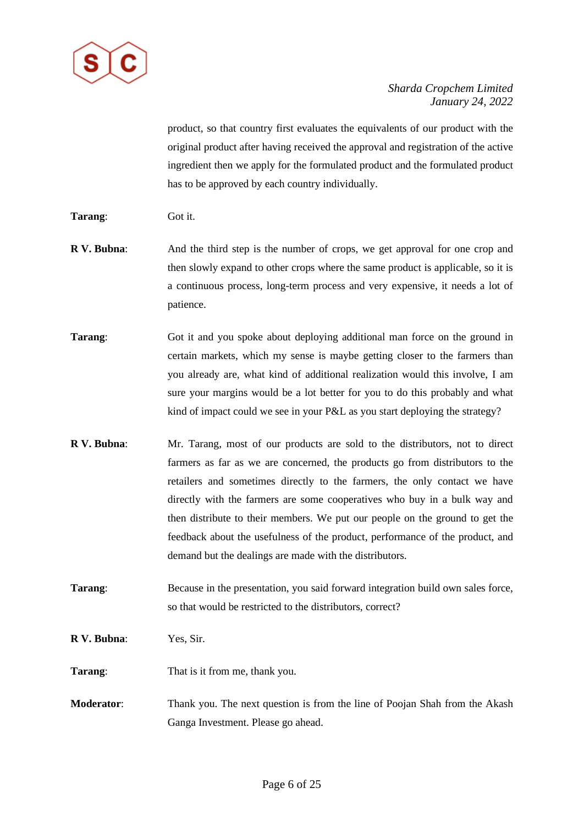

product, so that country first evaluates the equivalents of our product with the original product after having received the approval and registration of the active ingredient then we apply for the formulated product and the formulated product has to be approved by each country individually.

- **Tarang**: Got it.
- **R V. Bubna:** And the third step is the number of crops, we get approval for one crop and then slowly expand to other crops where the same product is applicable, so it is a continuous process, long-term process and very expensive, it needs a lot of patience.
- **Tarang:** Got it and you spoke about deploying additional man force on the ground in certain markets, which my sense is maybe getting closer to the farmers than you already are, what kind of additional realization would this involve, I am sure your margins would be a lot better for you to do this probably and what kind of impact could we see in your P&L as you start deploying the strategy?
- **R V. Bubna**: Mr. Tarang, most of our products are sold to the distributors, not to direct farmers as far as we are concerned, the products go from distributors to the retailers and sometimes directly to the farmers, the only contact we have directly with the farmers are some cooperatives who buy in a bulk way and then distribute to their members. We put our people on the ground to get the feedback about the usefulness of the product, performance of the product, and demand but the dealings are made with the distributors.
- **Tarang:** Because in the presentation, you said forward integration build own sales force, so that would be restricted to the distributors, correct?

**R V. Bubna**: Yes, Sir.

**Tarang:** That is it from me, thank you.

**Moderator:** Thank you. The next question is from the line of Poojan Shah from the Akash Ganga Investment. Please go ahead.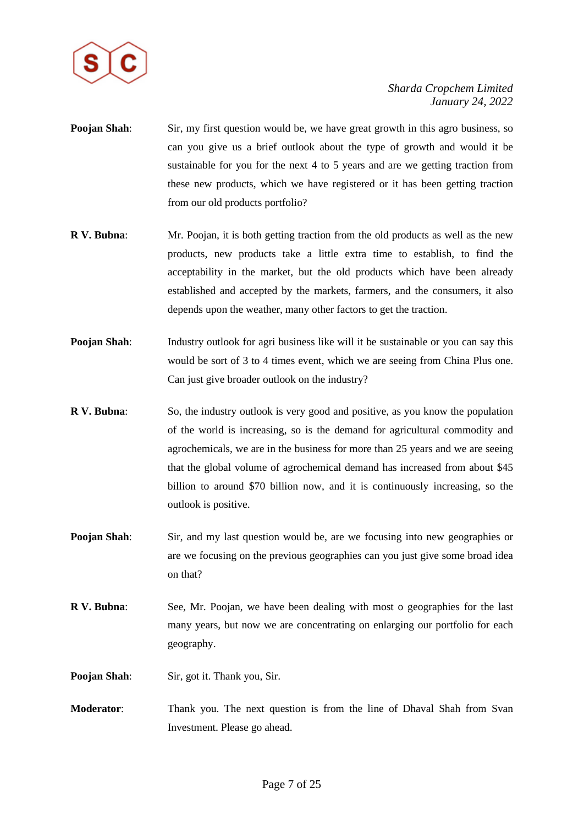

- **Poojan Shah:** Sir, my first question would be, we have great growth in this agro business, so can you give us a brief outlook about the type of growth and would it be sustainable for you for the next 4 to 5 years and are we getting traction from these new products, which we have registered or it has been getting traction from our old products portfolio?
- **R V. Bubna**: Mr. Poojan, it is both getting traction from the old products as well as the new products, new products take a little extra time to establish, to find the acceptability in the market, but the old products which have been already established and accepted by the markets, farmers, and the consumers, it also depends upon the weather, many other factors to get the traction.
- **Poojan Shah:** Industry outlook for agri business like will it be sustainable or you can say this would be sort of 3 to 4 times event, which we are seeing from China Plus one. Can just give broader outlook on the industry?
- **R V. Bubna:** So, the industry outlook is very good and positive, as you know the population of the world is increasing, so is the demand for agricultural commodity and agrochemicals, we are in the business for more than 25 years and we are seeing that the global volume of agrochemical demand has increased from about \$45 billion to around \$70 billion now, and it is continuously increasing, so the outlook is positive.
- **Poojan Shah:** Sir, and my last question would be, are we focusing into new geographies or are we focusing on the previous geographies can you just give some broad idea on that?
- **R V. Bubna**: See, Mr. Poojan, we have been dealing with most o geographies for the last many years, but now we are concentrating on enlarging our portfolio for each geography.

**Poojan Shah:** Sir, got it. Thank you, Sir.

**Moderator**: Thank you. The next question is from the line of Dhaval Shah from Svan Investment. Please go ahead.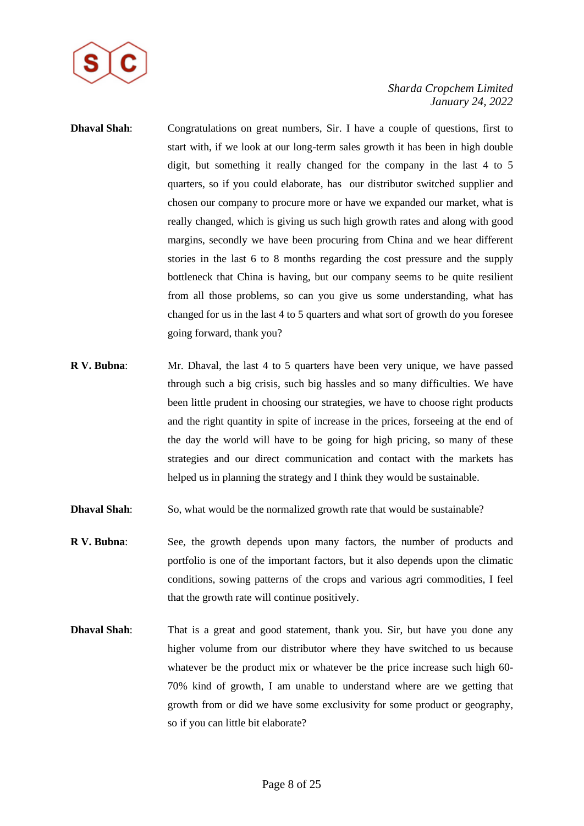

- **Dhaval Shah:** Congratulations on great numbers, Sir. I have a couple of questions, first to start with, if we look at our long-term sales growth it has been in high double digit, but something it really changed for the company in the last 4 to 5 quarters, so if you could elaborate, has our distributor switched supplier and chosen our company to procure more or have we expanded our market, what is really changed, which is giving us such high growth rates and along with good margins, secondly we have been procuring from China and we hear different stories in the last 6 to 8 months regarding the cost pressure and the supply bottleneck that China is having, but our company seems to be quite resilient from all those problems, so can you give us some understanding, what has changed for us in the last 4 to 5 quarters and what sort of growth do you foresee going forward, thank you?
- **R V. Bubna**: Mr. Dhaval, the last 4 to 5 quarters have been very unique, we have passed through such a big crisis, such big hassles and so many difficulties. We have been little prudent in choosing our strategies, we have to choose right products and the right quantity in spite of increase in the prices, forseeing at the end of the day the world will have to be going for high pricing, so many of these strategies and our direct communication and contact with the markets has helped us in planning the strategy and I think they would be sustainable.
- **Dhaval Shah**: So, what would be the normalized growth rate that would be sustainable?
- **R V. Bubna**: See, the growth depends upon many factors, the number of products and portfolio is one of the important factors, but it also depends upon the climatic conditions, sowing patterns of the crops and various agri commodities, I feel that the growth rate will continue positively.
- **Dhaval Shah**: That is a great and good statement, thank you. Sir, but have you done any higher volume from our distributor where they have switched to us because whatever be the product mix or whatever be the price increase such high 60- 70% kind of growth, I am unable to understand where are we getting that growth from or did we have some exclusivity for some product or geography, so if you can little bit elaborate?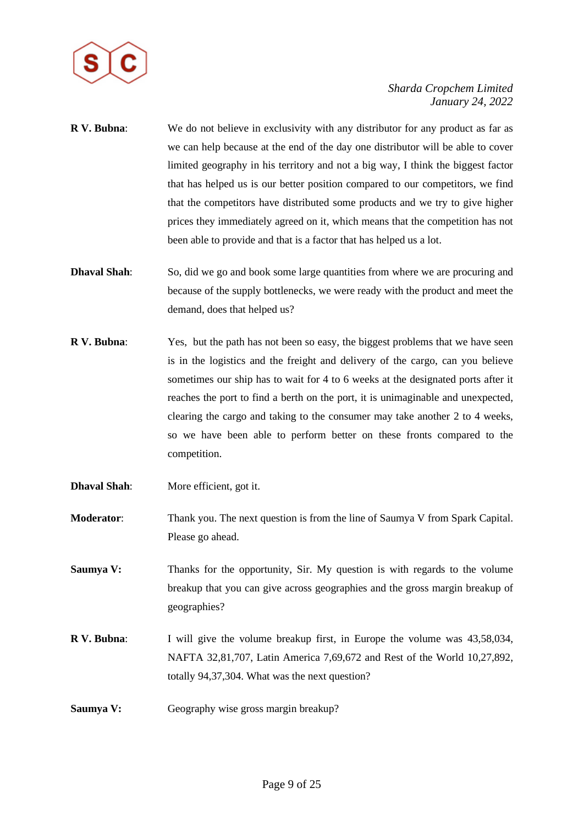

- **R V. Bubna**: We do not believe in exclusivity with any distributor for any product as far as we can help because at the end of the day one distributor will be able to cover limited geography in his territory and not a big way, I think the biggest factor that has helped us is our better position compared to our competitors, we find that the competitors have distributed some products and we try to give higher prices they immediately agreed on it, which means that the competition has not been able to provide and that is a factor that has helped us a lot.
- **Dhaval Shah**: So, did we go and book some large quantities from where we are procuring and because of the supply bottlenecks, we were ready with the product and meet the demand, does that helped us?
- **R V. Bubna:** Yes, but the path has not been so easy, the biggest problems that we have seen is in the logistics and the freight and delivery of the cargo, can you believe sometimes our ship has to wait for 4 to 6 weeks at the designated ports after it reaches the port to find a berth on the port, it is unimaginable and unexpected, clearing the cargo and taking to the consumer may take another 2 to 4 weeks, so we have been able to perform better on these fronts compared to the competition.
- **Dhaval Shah:** More efficient, got it.
- **Moderator**: Thank you. The next question is from the line of Saumya V from Spark Capital. Please go ahead.
- **Saumya V:** Thanks for the opportunity, Sir. My question is with regards to the volume breakup that you can give across geographies and the gross margin breakup of geographies?
- **R V. Bubna**: I will give the volume breakup first, in Europe the volume was 43,58,034, NAFTA 32,81,707, Latin America 7,69,672 and Rest of the World 10,27,892, totally 94,37,304. What was the next question?
- **Saumya V:** Geography wise gross margin breakup?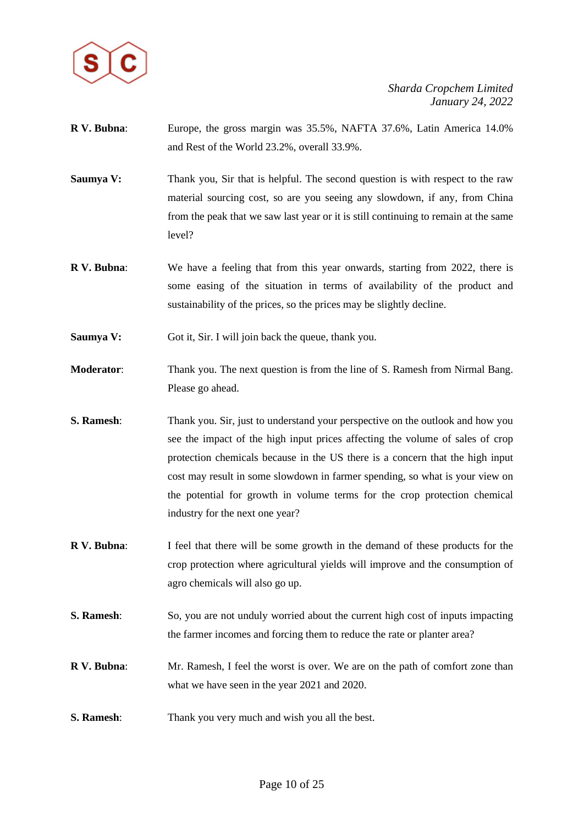

- **R V. Bubna**: Europe, the gross margin was 35.5%, NAFTA 37.6%, Latin America 14.0% and Rest of the World 23.2%, overall 33.9%.
- **Saumya V:** Thank you, Sir that is helpful. The second question is with respect to the raw material sourcing cost, so are you seeing any slowdown, if any, from China from the peak that we saw last year or it is still continuing to remain at the same level?
- **R V. Bubna**: We have a feeling that from this year onwards, starting from 2022, there is some easing of the situation in terms of availability of the product and sustainability of the prices, so the prices may be slightly decline.
- **Saumya V:** Got it, Sir. I will join back the queue, thank you.
- **Moderator**: Thank you. The next question is from the line of S. Ramesh from Nirmal Bang. Please go ahead.
- **S. Ramesh:** Thank you. Sir, just to understand your perspective on the outlook and how you see the impact of the high input prices affecting the volume of sales of crop protection chemicals because in the US there is a concern that the high input cost may result in some slowdown in farmer spending, so what is your view on the potential for growth in volume terms for the crop protection chemical industry for the next one year?
- **R V. Bubna**: I feel that there will be some growth in the demand of these products for the crop protection where agricultural yields will improve and the consumption of agro chemicals will also go up.
- **S. Ramesh:** So, you are not unduly worried about the current high cost of inputs impacting the farmer incomes and forcing them to reduce the rate or planter area?
- **R V. Bubna**: Mr. Ramesh, I feel the worst is over. We are on the path of comfort zone than what we have seen in the year 2021 and 2020.
- **S. Ramesh:** Thank you very much and wish you all the best.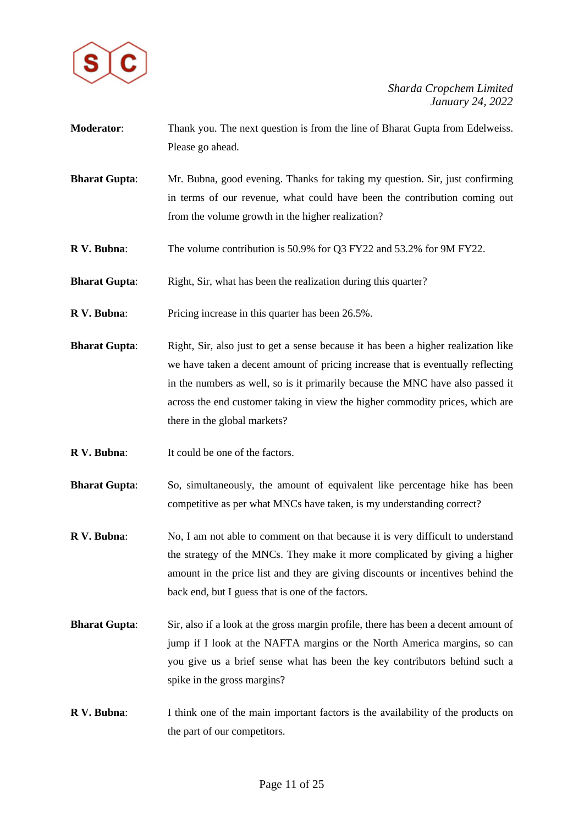

- **Moderator**: Thank you. The next question is from the line of Bharat Gupta from Edelweiss. Please go ahead.
- **Bharat Gupta**: Mr. Bubna, good evening. Thanks for taking my question. Sir, just confirming in terms of our revenue, what could have been the contribution coming out from the volume growth in the higher realization?
- **R V. Bubna**: The volume contribution is 50.9% for Q3 FY22 and 53.2% for 9M FY22.
- **Bharat Gupta:** Right, Sir, what has been the realization during this quarter?
- **R V. Bubna:** Pricing increase in this quarter has been 26.5%.
- **Bharat Gupta**: Right, Sir, also just to get a sense because it has been a higher realization like we have taken a decent amount of pricing increase that is eventually reflecting in the numbers as well, so is it primarily because the MNC have also passed it across the end customer taking in view the higher commodity prices, which are there in the global markets?
- **R V. Bubna:** It could be one of the factors.
- **Bharat Gupta**: So, simultaneously, the amount of equivalent like percentage hike has been competitive as per what MNCs have taken, is my understanding correct?
- **R V. Bubna**: No, I am not able to comment on that because it is very difficult to understand the strategy of the MNCs. They make it more complicated by giving a higher amount in the price list and they are giving discounts or incentives behind the back end, but I guess that is one of the factors.
- **Bharat Gupta**: Sir, also if a look at the gross margin profile, there has been a decent amount of jump if I look at the NAFTA margins or the North America margins, so can you give us a brief sense what has been the key contributors behind such a spike in the gross margins?
- **R V. Bubna**: I think one of the main important factors is the availability of the products on the part of our competitors.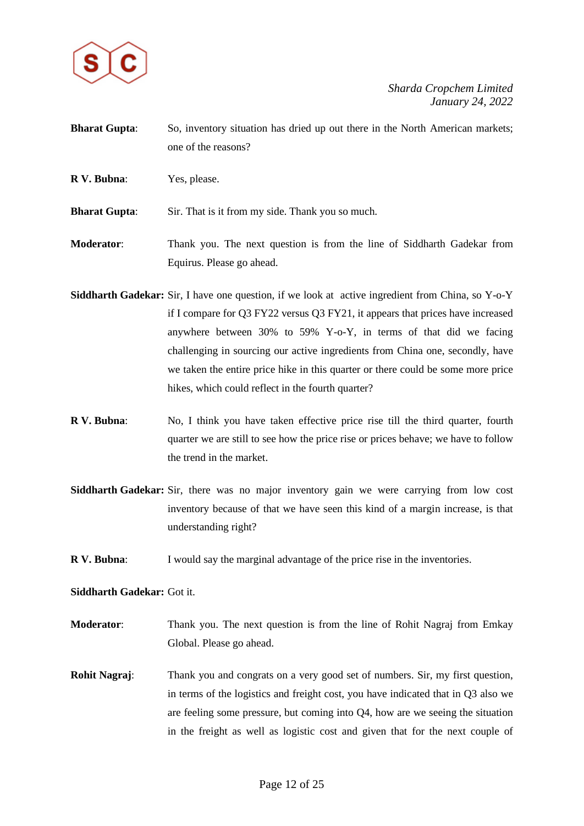

- **Bharat Gupta:** So, inventory situation has dried up out there in the North American markets; one of the reasons?
- **R V. Bubna**: Yes, please.

**Bharat Gupta:** Sir. That is it from my side. Thank you so much.

- **Moderator**: Thank you. The next question is from the line of Siddharth Gadekar from Equirus. Please go ahead.
- **Siddharth Gadekar:** Sir, I have one question, if we look at active ingredient from China, so Y-o-Y if I compare for Q3 FY22 versus Q3 FY21, it appears that prices have increased anywhere between 30% to 59% Y-o-Y, in terms of that did we facing challenging in sourcing our active ingredients from China one, secondly, have we taken the entire price hike in this quarter or there could be some more price hikes, which could reflect in the fourth quarter?
- **R V. Bubna**: No, I think you have taken effective price rise till the third quarter, fourth quarter we are still to see how the price rise or prices behave; we have to follow the trend in the market.
- **Siddharth Gadekar:** Sir, there was no major inventory gain we were carrying from low cost inventory because of that we have seen this kind of a margin increase, is that understanding right?
- **R V. Bubna**: I would say the marginal advantage of the price rise in the inventories.

**Siddharth Gadekar:** Got it.

- **Moderator**: Thank you. The next question is from the line of Rohit Nagraj from Emkay Global. Please go ahead.
- **Rohit Nagraj**: Thank you and congrats on a very good set of numbers. Sir, my first question, in terms of the logistics and freight cost, you have indicated that in Q3 also we are feeling some pressure, but coming into Q4, how are we seeing the situation in the freight as well as logistic cost and given that for the next couple of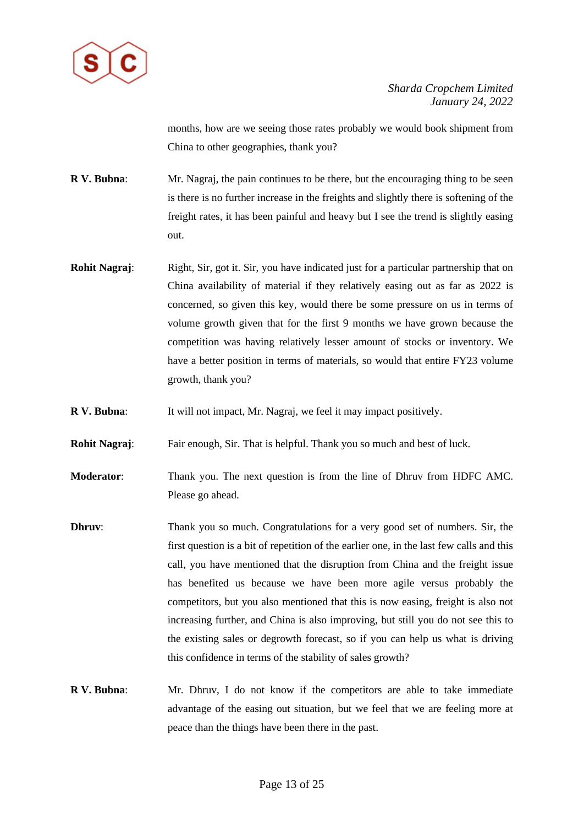

months, how are we seeing those rates probably we would book shipment from China to other geographies, thank you?

**R V. Bubna**: Mr. Nagraj, the pain continues to be there, but the encouraging thing to be seen is there is no further increase in the freights and slightly there is softening of the freight rates, it has been painful and heavy but I see the trend is slightly easing out.

- **Rohit Nagraj:** Right, Sir, got it. Sir, you have indicated just for a particular partnership that on China availability of material if they relatively easing out as far as 2022 is concerned, so given this key, would there be some pressure on us in terms of volume growth given that for the first 9 months we have grown because the competition was having relatively lesser amount of stocks or inventory. We have a better position in terms of materials, so would that entire FY23 volume growth, thank you?
- **R V. Bubna**: It will not impact, Mr. Nagraj, we feel it may impact positively.
- **Rohit Nagraj:** Fair enough, Sir. That is helpful. Thank you so much and best of luck.
- **Moderator**: Thank you. The next question is from the line of Dhruv from HDFC AMC. Please go ahead.
- **Dhruv**: Thank you so much. Congratulations for a very good set of numbers. Sir, the first question is a bit of repetition of the earlier one, in the last few calls and this call, you have mentioned that the disruption from China and the freight issue has benefited us because we have been more agile versus probably the competitors, but you also mentioned that this is now easing, freight is also not increasing further, and China is also improving, but still you do not see this to the existing sales or degrowth forecast, so if you can help us what is driving this confidence in terms of the stability of sales growth?
- **R V. Bubna**: Mr. Dhruv, I do not know if the competitors are able to take immediate advantage of the easing out situation, but we feel that we are feeling more at peace than the things have been there in the past.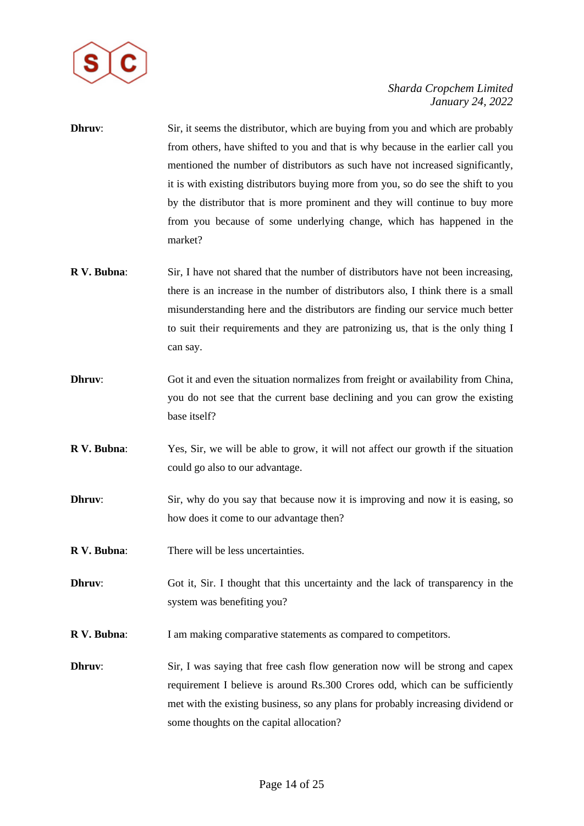

- **Dhruv**: Sir, it seems the distributor, which are buying from you and which are probably from others, have shifted to you and that is why because in the earlier call you mentioned the number of distributors as such have not increased significantly, it is with existing distributors buying more from you, so do see the shift to you by the distributor that is more prominent and they will continue to buy more from you because of some underlying change, which has happened in the market?
- **R V. Bubna:** Sir, I have not shared that the number of distributors have not been increasing, there is an increase in the number of distributors also, I think there is a small misunderstanding here and the distributors are finding our service much better to suit their requirements and they are patronizing us, that is the only thing I can say.
- **Dhruv:** Got it and even the situation normalizes from freight or availability from China, you do not see that the current base declining and you can grow the existing base itself?
- **R V. Bubna**: Yes, Sir, we will be able to grow, it will not affect our growth if the situation could go also to our advantage.
- **Dhruv:** Sir, why do you say that because now it is improving and now it is easing, so how does it come to our advantage then?
- **R V. Bubna**: There will be less uncertainties.
- **Dhruv:** Got it, Sir. I thought that this uncertainty and the lack of transparency in the system was benefiting you?
- **R V. Bubna:** I am making comparative statements as compared to competitors.
- **Dhruv:** Sir, I was saying that free cash flow generation now will be strong and capex requirement I believe is around Rs.300 Crores odd, which can be sufficiently met with the existing business, so any plans for probably increasing dividend or some thoughts on the capital allocation?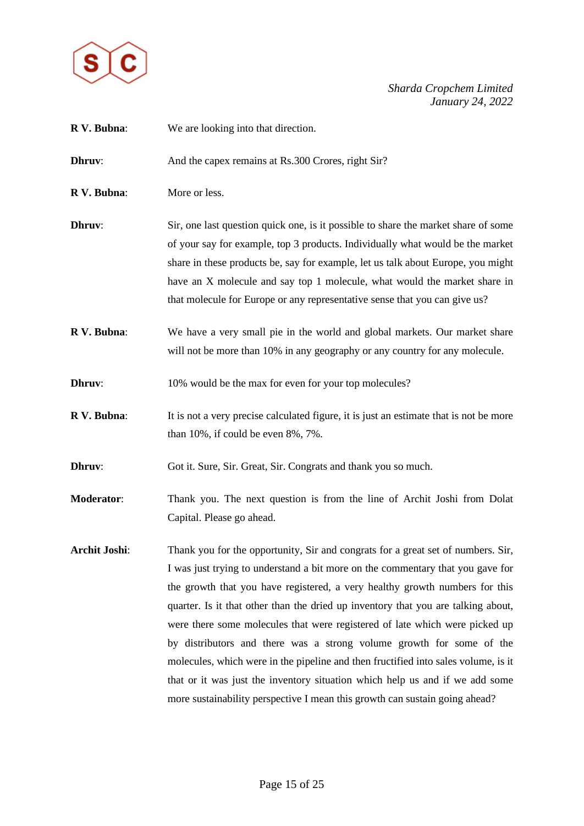

**R V. Bubna**: We are looking into that direction. **Dhruv:** And the capex remains at Rs.300 Crores, right Sir? **R V. Bubna**: More or less. **Dhruv:** Sir, one last question quick one, is it possible to share the market share of some of your say for example, top 3 products. Individually what would be the market share in these products be, say for example, let us talk about Europe, you might have an X molecule and say top 1 molecule, what would the market share in that molecule for Europe or any representative sense that you can give us? **R V. Bubna**: We have a very small pie in the world and global markets. Our market share will not be more than 10% in any geography or any country for any molecule. **Dhruv:** 10% would be the max for even for your top molecules? **R V. Bubna:** It is not a very precise calculated figure, it is just an estimate that is not be more than 10%, if could be even 8%, 7%. **Dhruv:** Got it. Sure, Sir. Great, Sir. Congrats and thank you so much. **Moderator**: Thank you. The next question is from the line of Archit Joshi from Dolat Capital. Please go ahead. **Archit Joshi**: Thank you for the opportunity, Sir and congrats for a great set of numbers. Sir, I was just trying to understand a bit more on the commentary that you gave for the growth that you have registered, a very healthy growth numbers for this quarter. Is it that other than the dried up inventory that you are talking about, were there some molecules that were registered of late which were picked up by distributors and there was a strong volume growth for some of the molecules, which were in the pipeline and then fructified into sales volume, is it that or it was just the inventory situation which help us and if we add some more sustainability perspective I mean this growth can sustain going ahead?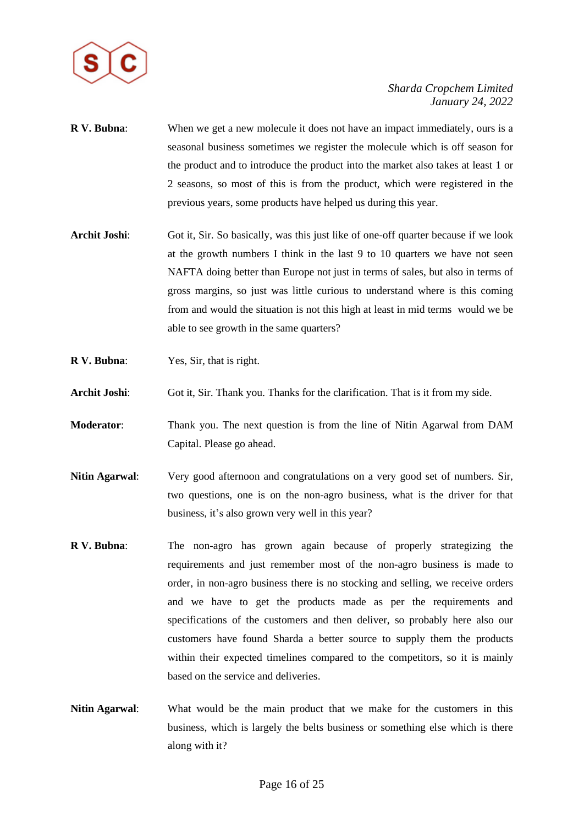

- **R V. Bubna**: When we get a new molecule it does not have an impact immediately, ours is a seasonal business sometimes we register the molecule which is off season for the product and to introduce the product into the market also takes at least 1 or 2 seasons, so most of this is from the product, which were registered in the previous years, some products have helped us during this year.
- Archit Joshi: Got it, Sir. So basically, was this just like of one-off quarter because if we look at the growth numbers I think in the last 9 to 10 quarters we have not seen NAFTA doing better than Europe not just in terms of sales, but also in terms of gross margins, so just was little curious to understand where is this coming from and would the situation is not this high at least in mid terms would we be able to see growth in the same quarters?
- **R V. Bubna**: Yes, Sir, that is right.
- **Archit Joshi**: Got it, Sir. Thank you. Thanks for the clarification. That is it from my side.
- **Moderator**: Thank you. The next question is from the line of Nitin Agarwal from DAM Capital. Please go ahead.
- **Nitin Agarwal**: Very good afternoon and congratulations on a very good set of numbers. Sir, two questions, one is on the non-agro business, what is the driver for that business, it's also grown very well in this year?
- **R V. Bubna**: The non-agro has grown again because of properly strategizing the requirements and just remember most of the non-agro business is made to order, in non-agro business there is no stocking and selling, we receive orders and we have to get the products made as per the requirements and specifications of the customers and then deliver, so probably here also our customers have found Sharda a better source to supply them the products within their expected timelines compared to the competitors, so it is mainly based on the service and deliveries.
- **Nitin Agarwal**: What would be the main product that we make for the customers in this business, which is largely the belts business or something else which is there along with it?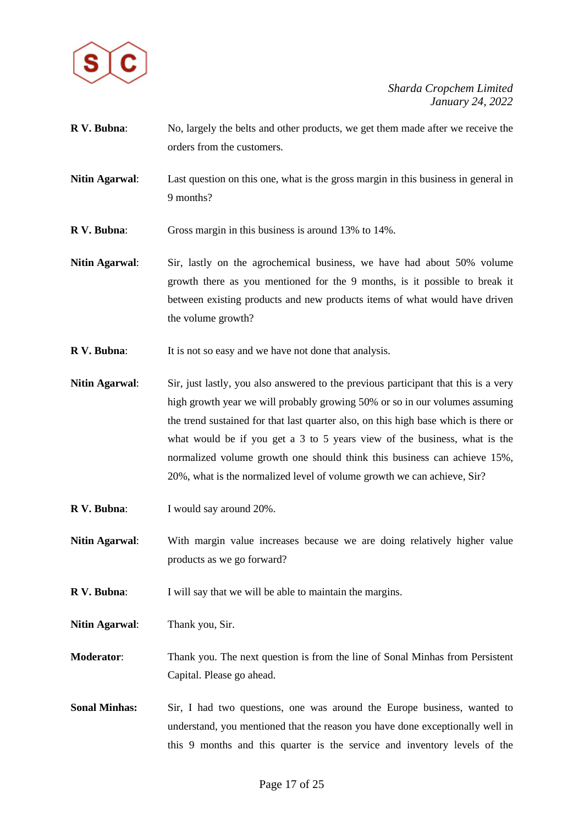

- **R V. Bubna**: No, largely the belts and other products, we get them made after we receive the orders from the customers.
- **Nitin Agarwal**: Last question on this one, what is the gross margin in this business in general in 9 months?
- **R V. Bubna**: Gross margin in this business is around 13% to 14%.
- **Nitin Agarwal**: Sir, lastly on the agrochemical business, we have had about 50% volume growth there as you mentioned for the 9 months, is it possible to break it between existing products and new products items of what would have driven the volume growth?
- **R V. Bubna:** It is not so easy and we have not done that analysis.

**Nitin Agarwal**: Sir, just lastly, you also answered to the previous participant that this is a very high growth year we will probably growing 50% or so in our volumes assuming the trend sustained for that last quarter also, on this high base which is there or what would be if you get a 3 to 5 years view of the business, what is the normalized volume growth one should think this business can achieve 15%, 20%, what is the normalized level of volume growth we can achieve, Sir?

- **R V. Bubna**: I would say around 20%.
- **Nitin Agarwal**: With margin value increases because we are doing relatively higher value products as we go forward?
- **R V. Bubna:** I will say that we will be able to maintain the margins.
- **Nitin Agarwal**: Thank you, Sir.
- **Moderator**: Thank you. The next question is from the line of Sonal Minhas from Persistent Capital. Please go ahead.
- Sonal Minhas: Sir, I had two questions, one was around the Europe business, wanted to understand, you mentioned that the reason you have done exceptionally well in this 9 months and this quarter is the service and inventory levels of the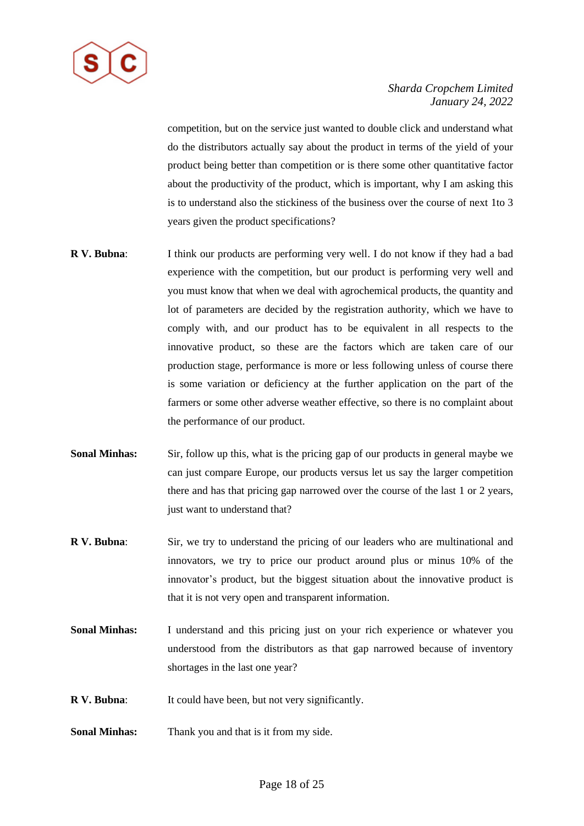

competition, but on the service just wanted to double click and understand what do the distributors actually say about the product in terms of the yield of your product being better than competition or is there some other quantitative factor about the productivity of the product, which is important, why I am asking this is to understand also the stickiness of the business over the course of next 1to 3 years given the product specifications?

- **R V. Bubna**: I think our products are performing very well. I do not know if they had a bad experience with the competition, but our product is performing very well and you must know that when we deal with agrochemical products, the quantity and lot of parameters are decided by the registration authority, which we have to comply with, and our product has to be equivalent in all respects to the innovative product, so these are the factors which are taken care of our production stage, performance is more or less following unless of course there is some variation or deficiency at the further application on the part of the farmers or some other adverse weather effective, so there is no complaint about the performance of our product.
- **Sonal Minhas:** Sir, follow up this, what is the pricing gap of our products in general maybe we can just compare Europe, our products versus let us say the larger competition there and has that pricing gap narrowed over the course of the last 1 or 2 years, just want to understand that?
- **R V. Bubna**: Sir, we try to understand the pricing of our leaders who are multinational and innovators, we try to price our product around plus or minus 10% of the innovator's product, but the biggest situation about the innovative product is that it is not very open and transparent information.
- **Sonal Minhas:** I understand and this pricing just on your rich experience or whatever you understood from the distributors as that gap narrowed because of inventory shortages in the last one year?
- **R V. Bubna**: It could have been, but not very significantly.
- **Sonal Minhas:** Thank you and that is it from my side.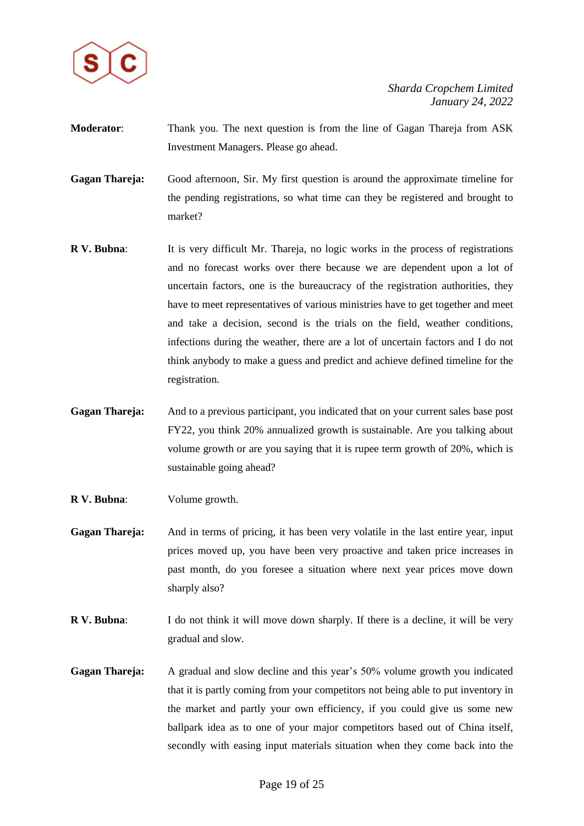

- **Moderator**: Thank you. The next question is from the line of Gagan Thareja from ASK Investment Managers. Please go ahead.
- **Gagan Thareja:** Good afternoon, Sir. My first question is around the approximate timeline for the pending registrations, so what time can they be registered and brought to market?
- **R V. Bubna**: It is very difficult Mr. Thareja, no logic works in the process of registrations and no forecast works over there because we are dependent upon a lot of uncertain factors, one is the bureaucracy of the registration authorities, they have to meet representatives of various ministries have to get together and meet and take a decision, second is the trials on the field, weather conditions, infections during the weather, there are a lot of uncertain factors and I do not think anybody to make a guess and predict and achieve defined timeline for the registration.
- **Gagan Thareja:** And to a previous participant, you indicated that on your current sales base post FY22, you think 20% annualized growth is sustainable. Are you talking about volume growth or are you saying that it is rupee term growth of 20%, which is sustainable going ahead?
- **R V. Bubna**: Volume growth.
- **Gagan Thareja:** And in terms of pricing, it has been very volatile in the last entire year, input prices moved up, you have been very proactive and taken price increases in past month, do you foresee a situation where next year prices move down sharply also?
- **R V. Bubna:** I do not think it will move down sharply. If there is a decline, it will be very gradual and slow.
- **Gagan Thareja:** A gradual and slow decline and this year's 50% volume growth you indicated that it is partly coming from your competitors not being able to put inventory in the market and partly your own efficiency, if you could give us some new ballpark idea as to one of your major competitors based out of China itself, secondly with easing input materials situation when they come back into the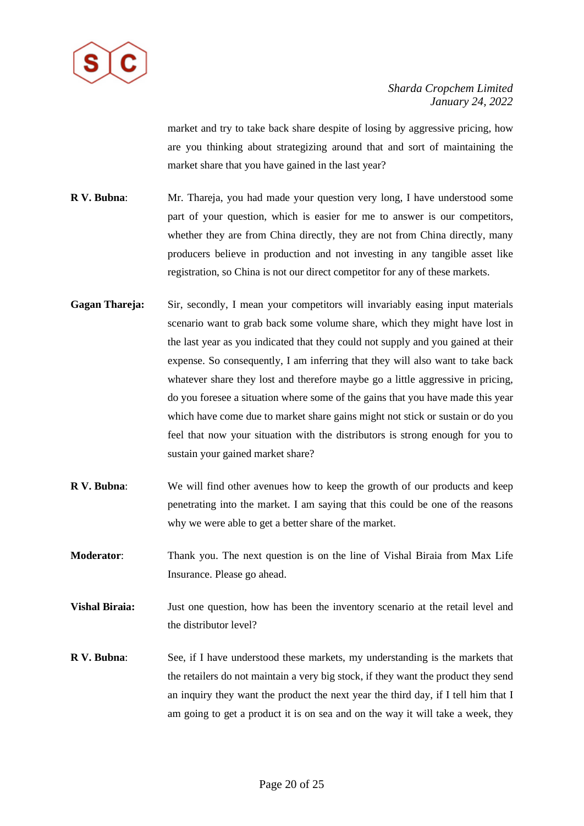

market and try to take back share despite of losing by aggressive pricing, how are you thinking about strategizing around that and sort of maintaining the market share that you have gained in the last year?

- **R V. Bubna**: Mr. Thareja, you had made your question very long, I have understood some part of your question, which is easier for me to answer is our competitors, whether they are from China directly, they are not from China directly, many producers believe in production and not investing in any tangible asset like registration, so China is not our direct competitor for any of these markets.
- **Gagan Thareja:** Sir, secondly, I mean your competitors will invariably easing input materials scenario want to grab back some volume share, which they might have lost in the last year as you indicated that they could not supply and you gained at their expense. So consequently, I am inferring that they will also want to take back whatever share they lost and therefore maybe go a little aggressive in pricing, do you foresee a situation where some of the gains that you have made this year which have come due to market share gains might not stick or sustain or do you feel that now your situation with the distributors is strong enough for you to sustain your gained market share?
- **R V. Bubna**: We will find other avenues how to keep the growth of our products and keep penetrating into the market. I am saying that this could be one of the reasons why we were able to get a better share of the market.
- **Moderator**: Thank you. The next question is on the line of Vishal Biraia from Max Life Insurance. Please go ahead.
- **Vishal Biraia:** Just one question, how has been the inventory scenario at the retail level and the distributor level?
- **R V. Bubna**: See, if I have understood these markets, my understanding is the markets that the retailers do not maintain a very big stock, if they want the product they send an inquiry they want the product the next year the third day, if I tell him that I am going to get a product it is on sea and on the way it will take a week, they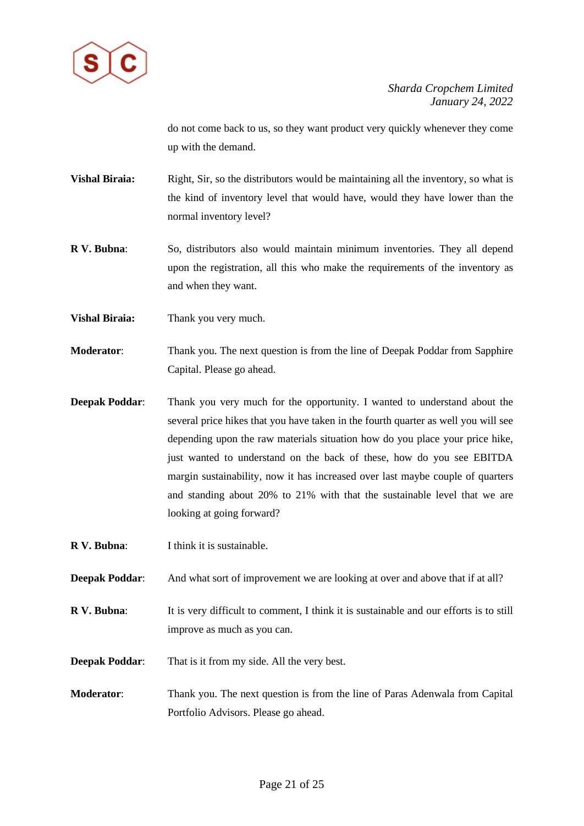

do not come back to us, so they want product very quickly whenever they come up with the demand.

- Vishal Biraia: Right, Sir, so the distributors would be maintaining all the inventory, so what is the kind of inventory level that would have, would they have lower than the normal inventory level?
- **R V. Bubna**: So, distributors also would maintain minimum inventories. They all depend upon the registration, all this who make the requirements of the inventory as and when they want.
- **Vishal Biraia:** Thank you very much.
- **Moderator**: Thank you. The next question is from the line of Deepak Poddar from Sapphire Capital. Please go ahead.
- **Deepak Poddar:** Thank you very much for the opportunity. I wanted to understand about the several price hikes that you have taken in the fourth quarter as well you will see depending upon the raw materials situation how do you place your price hike, just wanted to understand on the back of these, how do you see EBITDA margin sustainability, now it has increased over last maybe couple of quarters and standing about 20% to 21% with that the sustainable level that we are looking at going forward?
- **R V. Bubna**: I think it is sustainable.
- **Deepak Poddar:** And what sort of improvement we are looking at over and above that if at all?
- **R V. Bubna:** It is very difficult to comment, I think it is sustainable and our efforts is to still improve as much as you can.
- **Deepak Poddar:** That is it from my side. All the very best.
- **Moderator**: Thank you. The next question is from the line of Paras Adenwala from Capital Portfolio Advisors. Please go ahead.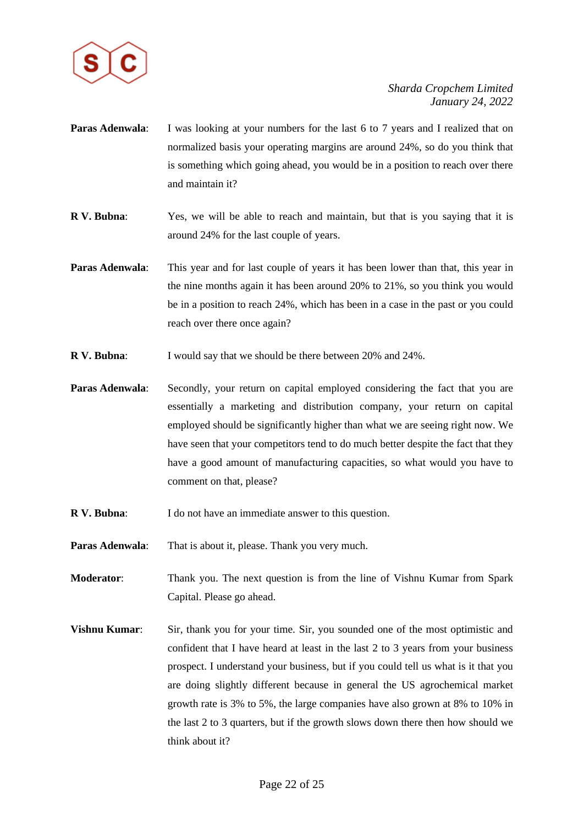

- **Paras Adenwala:** I was looking at your numbers for the last 6 to 7 years and I realized that on normalized basis your operating margins are around 24%, so do you think that is something which going ahead, you would be in a position to reach over there and maintain it?
- **R V. Bubna**: Yes, we will be able to reach and maintain, but that is you saying that it is around 24% for the last couple of years.
- **Paras Adenwala:** This year and for last couple of years it has been lower than that, this year in the nine months again it has been around 20% to 21%, so you think you would be in a position to reach 24%, which has been in a case in the past or you could reach over there once again?
- **R V. Bubna:** I would say that we should be there between 20% and 24%.
- **Paras Adenwala:** Secondly, your return on capital employed considering the fact that you are essentially a marketing and distribution company, your return on capital employed should be significantly higher than what we are seeing right now. We have seen that your competitors tend to do much better despite the fact that they have a good amount of manufacturing capacities, so what would you have to comment on that, please?
- **R V. Bubna**: I do not have an immediate answer to this question.
- **Paras Adenwala:** That is about it, please. Thank you very much.
- **Moderator**: Thank you. The next question is from the line of Vishnu Kumar from Spark Capital. Please go ahead.
- **Vishnu Kumar:** Sir, thank you for your time. Sir, you sounded one of the most optimistic and confident that I have heard at least in the last 2 to 3 years from your business prospect. I understand your business, but if you could tell us what is it that you are doing slightly different because in general the US agrochemical market growth rate is 3% to 5%, the large companies have also grown at 8% to 10% in the last 2 to 3 quarters, but if the growth slows down there then how should we think about it?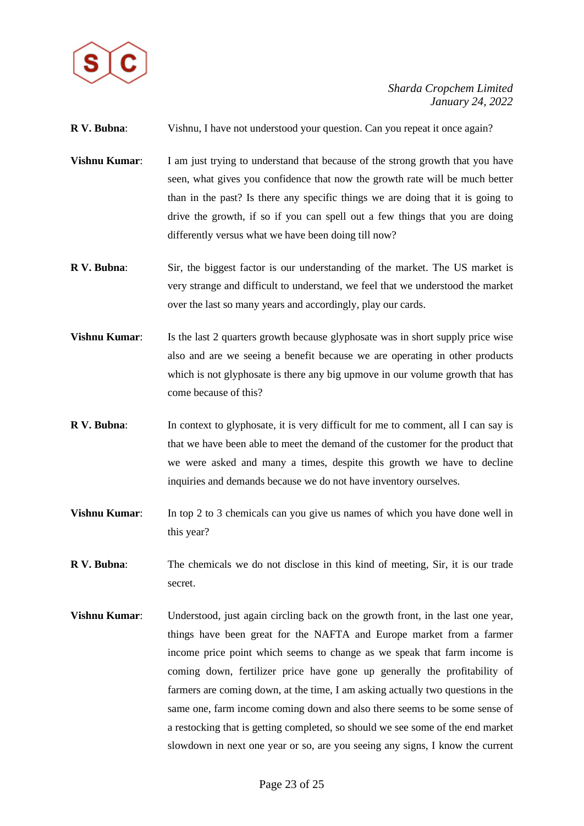

**R V. Bubna:** Vishnu, I have not understood your question. Can you repeat it once again?

- **Vishnu Kumar:** I am just trying to understand that because of the strong growth that you have seen, what gives you confidence that now the growth rate will be much better than in the past? Is there any specific things we are doing that it is going to drive the growth, if so if you can spell out a few things that you are doing differently versus what we have been doing till now?
- **R V. Bubna**: Sir, the biggest factor is our understanding of the market. The US market is very strange and difficult to understand, we feel that we understood the market over the last so many years and accordingly, play our cards.
- **Vishnu Kumar:** Is the last 2 quarters growth because glyphosate was in short supply price wise also and are we seeing a benefit because we are operating in other products which is not glyphosate is there any big upmove in our volume growth that has come because of this?
- **R V. Bubna:** In context to glyphosate, it is very difficult for me to comment, all I can say is that we have been able to meet the demand of the customer for the product that we were asked and many a times, despite this growth we have to decline inquiries and demands because we do not have inventory ourselves.
- **Vishnu Kumar:** In top 2 to 3 chemicals can you give us names of which you have done well in this year?
- **R V. Bubna**: The chemicals we do not disclose in this kind of meeting, Sir, it is our trade secret.
- **Vishnu Kumar**: Understood, just again circling back on the growth front, in the last one year, things have been great for the NAFTA and Europe market from a farmer income price point which seems to change as we speak that farm income is coming down, fertilizer price have gone up generally the profitability of farmers are coming down, at the time, I am asking actually two questions in the same one, farm income coming down and also there seems to be some sense of a restocking that is getting completed, so should we see some of the end market slowdown in next one year or so, are you seeing any signs, I know the current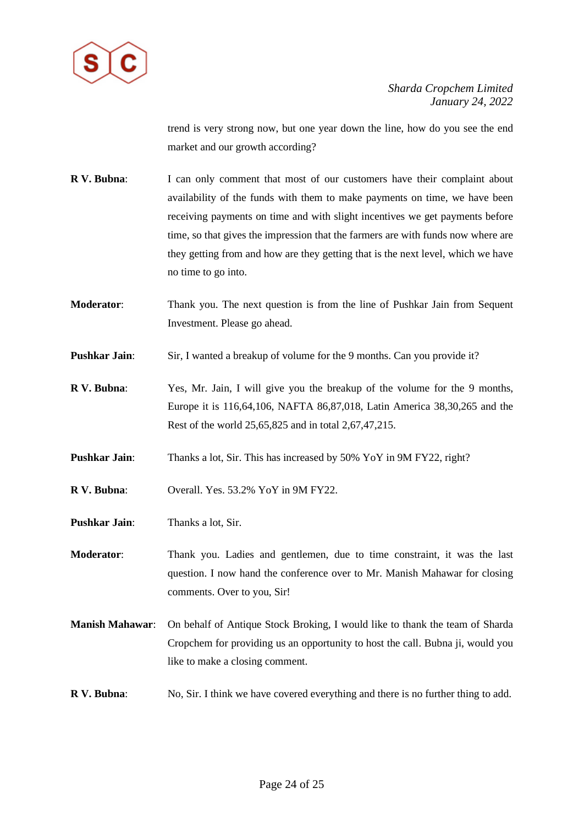

trend is very strong now, but one year down the line, how do you see the end market and our growth according?

- **R V. Bubna:** I can only comment that most of our customers have their complaint about availability of the funds with them to make payments on time, we have been receiving payments on time and with slight incentives we get payments before time, so that gives the impression that the farmers are with funds now where are they getting from and how are they getting that is the next level, which we have no time to go into.
- **Moderator**: Thank you. The next question is from the line of Pushkar Jain from Sequent Investment. Please go ahead.
- **Pushkar Jain:** Sir, I wanted a breakup of volume for the 9 months. Can you provide it?
- **R V. Bubna**: Yes, Mr. Jain, I will give you the breakup of the volume for the 9 months, Europe it is 116,64,106, NAFTA 86,87,018, Latin America 38,30,265 and the Rest of the world 25,65,825 and in total 2,67,47,215.
- **Pushkar Jain:** Thanks a lot, Sir. This has increased by 50% YoY in 9M FY22, right?
- **R V. Bubna**: Overall. Yes. 53.2% YoY in 9M FY22.
- **Pushkar Jain**: Thanks a lot, Sir.

**Moderator**: Thank you. Ladies and gentlemen, due to time constraint, it was the last question. I now hand the conference over to Mr. Manish Mahawar for closing comments. Over to you, Sir!

- **Manish Mahawar**: On behalf of Antique Stock Broking, I would like to thank the team of Sharda Cropchem for providing us an opportunity to host the call. Bubna ji, would you like to make a closing comment.
- **R V. Bubna**: No, Sir. I think we have covered everything and there is no further thing to add.